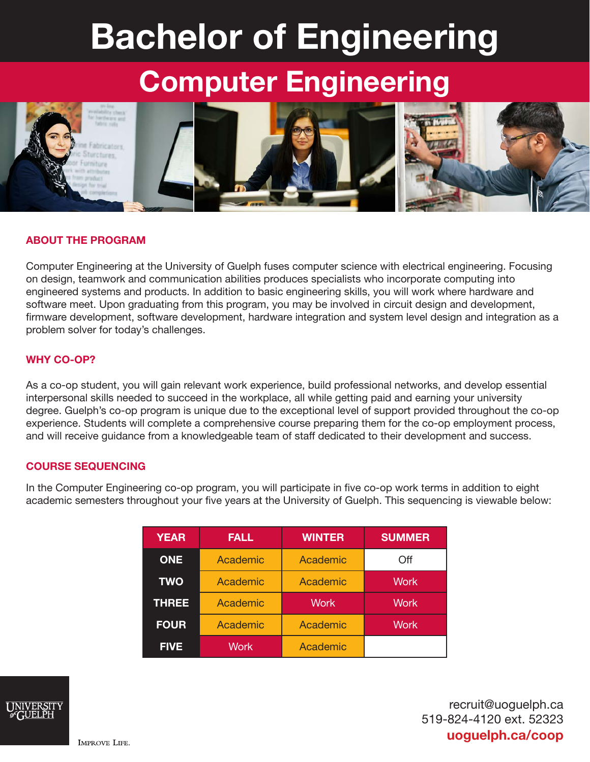# Bachelor of Engineering

# Computer Engineering



# ABOUT THE PROGRAM

Computer Engineering at the University of Guelph fuses computer science with electrical engineering. Focusing on design, teamwork and communication abilities produces specialists who incorporate computing into engineered systems and products. In addition to basic engineering skills, you will work where hardware and software meet. Upon graduating from this program, you may be involved in circuit design and development, firmware development, software development, hardware integration and system level design and integration as a problem solver for today's challenges.

## WHY CO-OP?

As a co-op student, you will gain relevant work experience, build professional networks, and develop essential interpersonal skills needed to succeed in the workplace, all while getting paid and earning your university degree. Guelph's co-op program is unique due to the exceptional level of support provided throughout the co-op experience. Students will complete a comprehensive course preparing them for the co-op employment process, and will receive guidance from a knowledgeable team of staff dedicated to their development and success.

### COURSE SEQUENCING

In the Computer Engineering co-op program, you will participate in five co-op work terms in addition to eight academic semesters throughout your five years at the University of Guelph. This sequencing is viewable below:

| <b>YEAR</b>  | <b>FALL</b> | <b>WINTER</b> | <b>SUMMER</b> |
|--------------|-------------|---------------|---------------|
| <b>ONE</b>   | Academic    | Academic      | Off           |
| <b>TWO</b>   | Academic    | Academic      | <b>Work</b>   |
| <b>THREE</b> | Academic    | <b>Work</b>   | <b>Work</b>   |
| <b>FOUR</b>  | Academic    | Academic      | <b>Work</b>   |
| <b>FIVE</b>  | Work        | Academic      |               |



recruit@uoguelph.ca 519-824-4120 ext. 52323 uoguelph.ca/coop